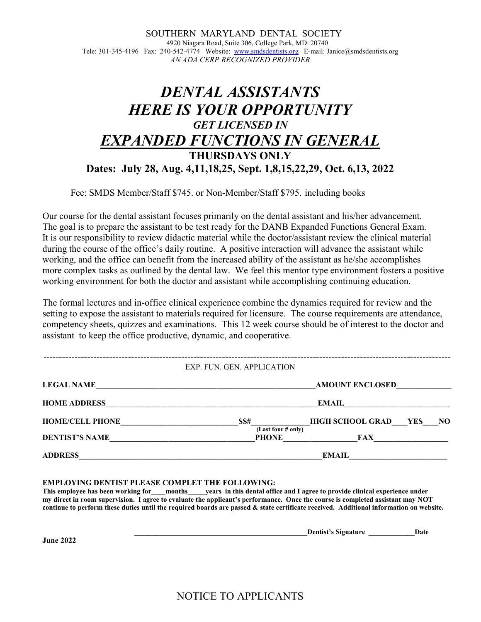SOUTHERN MARYLAND DENTAL SOCIETY 4920 Niagara Road, Suite 306, College Park, MD 20740 Tele: 301-345-4196 Fax: 240-542-4774 Website: www.smdsdentists.org E-mail: Janice@smdsdentists.org AN ADA CERP RECOGNIZED PROVIDER

## DENTAL ASSISTANTS HERE IS YOUR OPPORTUNITY GET LICENSED IN EXPANDED FUNCTIONS IN GENERAL THURSDAYS ONLY Dates: July 28, Aug. 4,11,18,25, Sept. 1,8,15,22,29, Oct. 6,13, 2022

Fee: SMDS Member/Staff \$745. or Non-Member/Staff \$795. including books

Our course for the dental assistant focuses primarily on the dental assistant and his/her advancement. The goal is to prepare the assistant to be test ready for the DANB Expanded Functions General Exam. It is our responsibility to review didactic material while the doctor/assistant review the clinical material during the course of the office's daily routine. A positive interaction will advance the assistant while working, and the office can benefit from the increased ability of the assistant as he/she accomplishes more complex tasks as outlined by the dental law. We feel this mentor type environment fosters a positive working environment for both the doctor and assistant while accomplishing continuing education.

The formal lectures and in-office clinical experience combine the dynamics required for review and the setting to expose the assistant to materials required for licensure. The course requirements are attendance, competency sheets, quizzes and examinations. This 12 week course should be of interest to the doctor and assistant to keep the office productive, dynamic, and cooperative.

## ---------------------------------------------------------------------------------------------------------------------------------- EXP. FUN. GEN. APPLICATION

| <b>LEGAL NAME</b>      | <b>AMOUNT ENCLOSED</b>                           |  |  |
|------------------------|--------------------------------------------------|--|--|
| <b>HOME ADDRESS</b>    | <b>EMAIL</b>                                     |  |  |
| <b>HOME/CELL PHONE</b> | <b>HIGH SCHOOL GRAD</b><br>SS#<br>YES<br>NO.     |  |  |
| <b>DENTIST'S NAME</b>  | (Last four # only)<br><b>PHONE</b><br><b>FAX</b> |  |  |
| <b>ADDRESS</b>         | <b>EMAIL</b>                                     |  |  |

EMPLOYING DENTIST PLEASE COMPLET THE FOLLOWING:

This employee has been working for months years in this dental office and I agree to provide clinical experience under my direct in room supervision. I agree to evaluate the applicant's performance. Once the course is completed assistant may NOT continue to perform these duties until the required boards are passed & state certificate received. Additional information on website.

|                      | Jentist<br>. .<br>.<br>. | Vate |
|----------------------|--------------------------|------|
| $\sim$ $\sim$ $\sim$ |                          |      |

June 2022